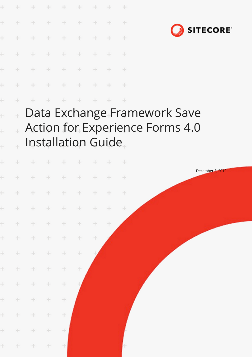| $+$                                | + + + + + + + +<br>* * * * * * * * *<br>+ + + + + + + + |  |  |  |  |
|------------------------------------|---------------------------------------------------------|--|--|--|--|
| + + + + + + + +                    |                                                         |  |  |  |  |
| + + + + + + +<br>* * * * * * * * * |                                                         |  |  |  |  |
|                                    |                                                         |  |  |  |  |
|                                    |                                                         |  |  |  |  |

 $\ddot{}$ 

 $\ddot{}$ 

÷



Data Exchange Framework Save  $\ddot{\pm}$ Action for Experience Forms 4.0  $\ddot{\phantom{0}}$ Installation Guide

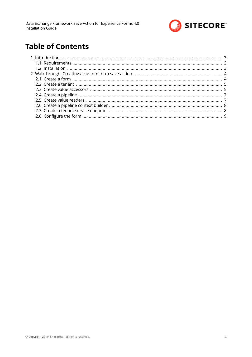

# **Table of Contents**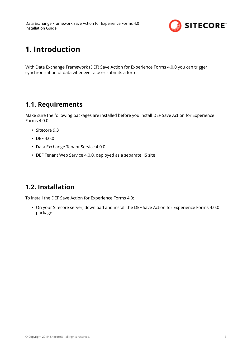

# <span id="page-2-0"></span>**1. Introduction**

With Data Exchange Framework (DEF) Save Action for Experience Forms 4.0.0 you can trigger synchronization of data whenever a user submits a form.

### **1.1. Requirements**

Make sure the following packages are installed before you install DEF Save Action for Experience Forms 4.0.0:

- Sitecore 9.3
- DEF 4.0.0
- Data Exchange Tenant Service 4.0.0
- DEF Tenant Web Service 4.0.0, deployed as a separate IIS site

## **1.2. Installation**

To install the DEF Save Action for Experience Forms 4.0:

• On your Sitecore server, download and install the DEF Save Action for Experience Forms 4.0.0 package.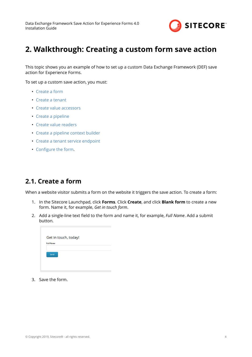

# <span id="page-3-0"></span>**2. Walkthrough: Creating a custom form save action**

This topic shows you an example of how to set up a custom Data Exchange Framework (DEF) save action for Experience Forms.

To set up a custom save action, you must:

- Create a form
- [Create a tenant](#page-4-0)
- [Create value accessors](#page-4-0)
- [Create a pipeline](#page-6-0)
- [Create value readers](#page-6-0)
- [Create a pipeline context builder](#page-7-0)
- [Create a tenant service endpoint](#page-7-0)
- Configure the form.

#### **2.1. Create a form**

When a website visitor submits a form on the website it triggers the save action. To create a form:

- 1. In the Sitecore Launchpad, click **Forms**. Click **Create**, and click **Blank form** to create a new form. Name it, for example, *Get in touch form*.
- 2. Add a single-line text field to the form and name it, for example, *Full Name*. Add a submit button.

|                  |  | Get in touch, today! |  |  |
|------------------|--|----------------------|--|--|
| <b>Full Name</b> |  |                      |  |  |
| Send!            |  |                      |  |  |
|                  |  |                      |  |  |
|                  |  |                      |  |  |

3. Save the form.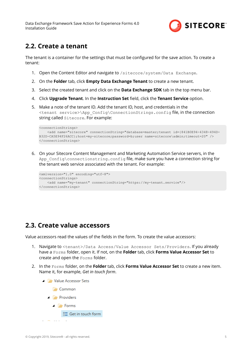<span id="page-4-0"></span>Data Exchange Framework Save Action for Experience Forms 4.0 Installation Guide



#### **2.2. Create a tenant**

The tenant is a container for the settings that must be configured for the save action. To create a tenant:

- 1. Open the Content Editor and navigate to /sitecore/system/Data Exchange.
- 2. On the **Folder** tab, click **Empty Data Exchange Tenant** to create a new tenant.
- 3. Select the created tenant and click on the **Data Exchange SDK** tab in the top menu bar.
- 4. Click **Upgrade Tenant**. In the **Instruction Set** field, click the **Tenant Service** option.
- 5. Make a note of the tenant ID. Add the tenant ID, host, and credentials in the <tenant service>\App Config\ConnectionStrings.config file, in the connection string called Sitecore. For example:

```
<connectionStrings>
    <add name="sitecore" connectionString="database=master;tenant id={841B0E94-4348-494D-
B32D-CA5E94F26ACC};host=my-sitecore;password=b;user name=sitecore\admin;timeout=20" />
</connectionStrings>
```
6. On your Sitecore Content Management and Marketing Automation Service servers, in the App Config\connectionstring.config file, make sure you have a connection string for the tenant web service associated with the tenant. For example:

```
<xmlversion="1.0" encoding="utf-8">
<connectionStrings>
    <add name="my-tenant" connectionString="https://my-tenant.service"/>
</connectionStrings>
```
#### **2.3. Create value accessors**

Value accessors read the values of the fields in the form. To create the value accessors:

- 1. Navigate to <tenant>/Data Access/Value Accessor Sets/Providers. If you already have a Forms folder, open it. If not, on the **Folder** tab, click **Forms Value Accessor Set** to create and open the Forms folder.
- 2. In the Forms folder, on the **Folder** tab, click **Forms Value Accessor Set** to create a new item. Name it, for example, *Get in touch form*.

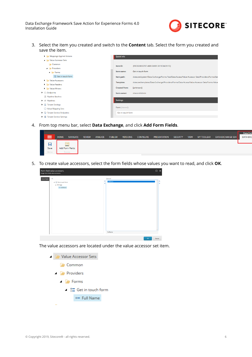

3. Select the item you created and switch to the **Content** tab. Select the form you created and save the item.

| Mappings Applied Actions                                     | <b>Quick Info</b>    |                                                                                               |
|--------------------------------------------------------------|----------------------|-----------------------------------------------------------------------------------------------|
| Value Accessor Sets                                          |                      |                                                                                               |
| <b>Common</b>                                                | Item ID:             | {F6F20266-B787-4680-BAB9-3819C04351FE}                                                        |
| <b>Providers</b>                                             |                      |                                                                                               |
| $\blacktriangle$ Forms                                       | Item name:           | Get in touch form                                                                             |
| <b>SE</b> Get in touch form                                  | Item path:           | /sitecore/system/Data Exchange/Forms Test/Data Access/Value Accessor Sets/Providers/Forms/Get |
| Value Accessors                                              | <b>Template:</b>     | /sitecore/templates/Data Exchange/Providers/Forms/Data Access/Value Accessor Sets/Forms Value |
| Value Readers                                                |                      |                                                                                               |
| <b>Value Writers</b>                                         | <b>Created from:</b> | [unknown]                                                                                     |
| $\blacktriangleright$ $\bigcirc$ Endpoints                   | Item owner:          | sitecore\Admin                                                                                |
| <b>E Pipeline Batches</b>                                    |                      |                                                                                               |
| $\blacktriangleright$ $\ominus$ Pipelines                    | <b>Settings</b>      |                                                                                               |
| $\blacktriangleright$ $\mathbb{E}$ Tenant Settings           |                      |                                                                                               |
| ◯ Value Mapping Sets                                         | Form [shared]:       |                                                                                               |
| $\triangleright$ $\curvearrowright$ Tenant Service Endpoints | Get in touch form    |                                                                                               |
| ▶ ■ Tenant Service Settings                                  |                      |                                                                                               |

4. From top menu bar, select **Data Exchange**, and click **Add Form Fields**.

|       |                                |               |         |                |                 |                  |              |                 |             |                   |                          | <b>Data Excl</b> |
|-------|--------------------------------|---------------|---------|----------------|-----------------|------------------|--------------|-----------------|-------------|-------------------|--------------------------|------------------|
|       | <b>HOME</b><br><b>NAVIGATE</b> | <b>REVIEW</b> | ANALYZE | <b>PUBLISH</b> | <b>VERSIONS</b> | <b>CONFIGURE</b> | PRESENTATION | <b>SECURITY</b> | <b>VIEW</b> | <b>MY TOOLBAR</b> | <b>DATA EXCHANGE SDK</b> | <b>DATA EXC</b>  |
|       |                                |               |         |                |                 |                  |              |                 |             |                   |                          |                  |
| π     |                                |               |         |                |                 |                  |              |                 |             |                   |                          |                  |
| Save  | Add Form Fields                |               |         |                |                 |                  |              |                 |             |                   |                          |                  |
| Write | Forms                          |               |         |                |                 |                  |              |                 |             |                   |                          |                  |
|       |                                |               |         |                |                 |                  |              |                 |             |                   |                          |                  |

5. To create value accessors, select the form fields whose values you want to read, and click OK.

| All<br>Form Fields                                             | Selected<br>FullName |  |
|----------------------------------------------------------------|----------------------|--|
| 4 B Get in touch form<br>$\blacktriangleleft$ $\boxminus$ Page | e                    |  |
| $\Box$ FullName                                                |                      |  |
|                                                                |                      |  |
|                                                                |                      |  |
|                                                                |                      |  |
|                                                                |                      |  |
|                                                                |                      |  |
|                                                                |                      |  |
|                                                                |                      |  |
|                                                                |                      |  |
|                                                                |                      |  |
|                                                                |                      |  |
|                                                                |                      |  |
|                                                                | FullName             |  |

The value accessors are located under the value accessor set item.

Value Accessor Sets

**Common** 

- **Providers** 
	- $\blacktriangle$  Forms
		- $\triangleq$   $\frac{0}{0}$  Get in touch form
			- Full Name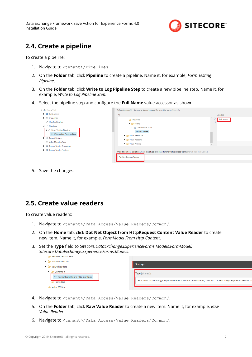<span id="page-6-0"></span>Data Exchange Framework Save Action for Experience Forms 4.0 Installation Guide



## **2.4. Create a pipeline**

To create a pipeline:

- 1. Navigate to <tenant>/Pipelines.
- 2. On the **Folder** tab, click **Pipeline** to create a pipeline. Name it, for example, *Form Testing Pipeline*.
- 3. On the **Folder** tab, click **Write to Log Pipeline Step** to create a new pipeline step. Name it, for example, *Write to Log Pipeline Step*.
- 4. Select the pipeline step and configure the **Full Name** value accessor as shown:

| $\blacktriangle$ $\blacktriangle$ Forms Test                                                                                                                                                                                              | Value Accessor(s) - Component used to read the identifier value [shared]:                                                                                                                                                                                                |                              |
|-------------------------------------------------------------------------------------------------------------------------------------------------------------------------------------------------------------------------------------------|--------------------------------------------------------------------------------------------------------------------------------------------------------------------------------------------------------------------------------------------------------------------------|------------------------------|
| <b>X</b> Data Access                                                                                                                                                                                                                      | All                                                                                                                                                                                                                                                                      | Selected                     |
| $\blacktriangleright$ $\bigcirc$ Endpoints<br><b>E Pipeline Batches</b><br>$\blacktriangle$ $\oplus$ Pipelines<br>$\blacktriangle$ $\ominus$ Form Testing Pipeline<br>□ Write to Log Pipeline Step<br>$\mathsf{F} \equiv$ Tenant Settings | $\blacksquare$ Providers<br>$\blacktriangle$ Forms<br>$\triangleq$ $\frac{6}{100}$ Get in touch form<br>• Full Name<br><b>No. Value Accessors</b>                                                                                                                        | $\wedge$<br><b>Full Name</b> |
| ◯ Value Mapping Sets<br>$\triangleright$ $\triangleright$ Tenant Service Endpoints<br>▶ ■ Tenant Service Settings                                                                                                                         | $\blacktriangleright$ $\blacktriangleright$ Value Readers<br>$\blacktriangleright$ $\blacktriangleright$ Value Writers<br>Object Location - Location where the object that the identifier value is read from [shared, standard value]:<br><b>Pipeline Context Source</b> | $\checkmark$                 |

5. Save the changes.

### **2.5. Create value readers**

To create value readers:

- 1. Navigate to <tenant>/Data Access/Value Readers/Common/.
- 2. On the **Home** tab, click **Dot Net Object from HttpRequest Content Value Reader** to create new item. Name it, for example, *FormModel From Http Content*.
- 3. Set the Type field to Sitecore.DataExchange.ExperienceForms.Models.FormModel, *Sitecore.DataExchange.ExperienceForms.Models*.

| <b>A</b> IMPROVEDUCTION AND ACCEPT                          |                                                                                                 |  |  |  |
|-------------------------------------------------------------|-------------------------------------------------------------------------------------------------|--|--|--|
| $\blacktriangleright$ $\blacktriangleright$ Value Accessors |                                                                                                 |  |  |  |
| Value Readers                                               | <b>Settings</b>                                                                                 |  |  |  |
| Common<br>○→ FormModel From Http Content                    | Type [shared]:                                                                                  |  |  |  |
| Providers                                                   | Sitecore.DataExchange.ExperienceForms.Models.FormModel, Sitecore.DataExchange.ExperienceForms.M |  |  |  |
| <b>Value Writers</b><br>$\mathbf{F}$                        |                                                                                                 |  |  |  |

- 4. Navigate to <tenant>/Data Access/Value Readers/Common/.
- 5. On the **Folder** tab, click **Raw Value Reader** to create a new item. Name it, for example, *Raw Value Reader*.
- 6. Navigate to <tenant>/Data Access/Value Readers/Common/.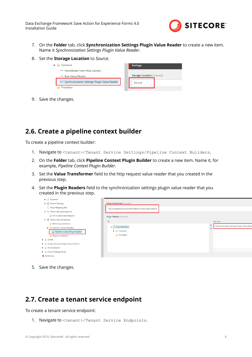

- <span id="page-7-0"></span>7. On the **Folder** tab, click **Synchronization Settings Plugin Value Reader** to create a new item. Name it *Synchronization Settings Plugin Value Reader*.
- 8. Set the **Storage Location** to *Source*.

| .ommon                                                     | <b>Settings</b>            |
|------------------------------------------------------------|----------------------------|
| <sup>o→</sup> FormModel From Http Content                  |                            |
| o→ Raw Value Reader                                        | Storage Location [shared]: |
| <sup>o→</sup> Synchronization Settings Plugin Value Reader | Source                     |
| Providers                                                  |                            |

9. Save the changes.

#### **2.6. Create a pipeline context builder**

To create a pipeline context builder:

- 1. Navigate to <tenant>/Tenant Service Settings/Pipeline Context Builders.
- 2. On the **Folder** tab, click **Pipeline Context Plugin Builder** to create a new item. Name it, for example, *Pipeline Context Plugin Builder*.
- 3. Set the **Value Transformer** field to the http request value reader that you created in the previous step.
- 4. Set the **Plugin Readers** field to the synchronization settings plugin value reader that you created in the previous step.

| $\blacktriangleright$ $\ominus$ Pipelines      |                                                  |                                            |
|------------------------------------------------|--------------------------------------------------|--------------------------------------------|
| $\blacktriangleright$ $\equiv$ Tenant Settings | Value Transformer [shared]:                      |                                            |
| ◯ Value Mapping Sets                           | Value Readers/Common/FormModel From Http Content |                                            |
| $\bullet$ Tenant Service Endpoints             |                                                  |                                            |
| <b>C</b> Form submitted endpoint               | Plugin Readers [shared]:                         |                                            |
| ▲ ■ Tenant Service Settings                    | All                                              | Selected                                   |
| Matching Conditions                            |                                                  |                                            |
| <b>4</b> Pipeline Context Builders             | Value Readers                                    | Synchronization Settings Plugin Value Read |
| Pipeline Context Plugin Builder                | $\triangleright$ $\triangleright$ Common         |                                            |
| Response Builders                              | <b>Providers</b>                                 |                                            |
| $\blacktriangleright$ $\rightarrow$ DCRM       |                                                  |                                            |
| <b>1</b> - Empty Data Exchange Tenant Branch   |                                                  |                                            |
| <b>A.</b> Forms Branch                         |                                                  |                                            |
| <b>A.</b> Forms Testing Tenant                 |                                                  |                                            |
| <b>Dictionary</b>                              |                                                  |                                            |
|                                                |                                                  |                                            |

5. Save the changes.

#### **2.7. Create a tenant service endpoint**

To create a tenant service endpoint:

1. Navigate to <tenant>/Tenant Service Endpoints.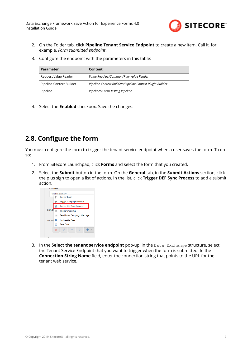

- <span id="page-8-0"></span>2. On the Folder tab, click **Pipeline Tenant Service Endpoint** to create a new item. Call it, for example, *Form submitted endpoint*.
- 3. Configure the endpoint with the parameters in this table:

| Parameter                | Content                                                   |
|--------------------------|-----------------------------------------------------------|
| Request Value Reader     | Value Readers/Common/Raw Value Reader                     |
| Pipeline Context Builder | Pipeline Context Builders/Pipeline Context Plugin Builder |
| Pipeline                 | Pipelines/Form Testing Pipeline                           |

4. Select the **Enabled** checkbox. Save the changes.

### **2.8. Configure the form**

You must configure the form to trigger the tenant service endpoint when a user saves the form. To do so:

- 1. From Sitecore Launchpad, click **Forms** and select the form that you created.
- 2. Select the **Submit** button in the form. On the **General** tab, in the **Submit Actions** section, click the plus sign to open a list of actions. In the list, click **Trigger DEF Sync Process** to add a submit action.



3. In the **Select the tenant service endpoint** pop-up, in the Data Exchange structure, select the Tenant Service Endpoint that you want to trigger when the form is submitted. In the **Connection String Name** field, enter the connection string that points to the URL for the tenant web service.